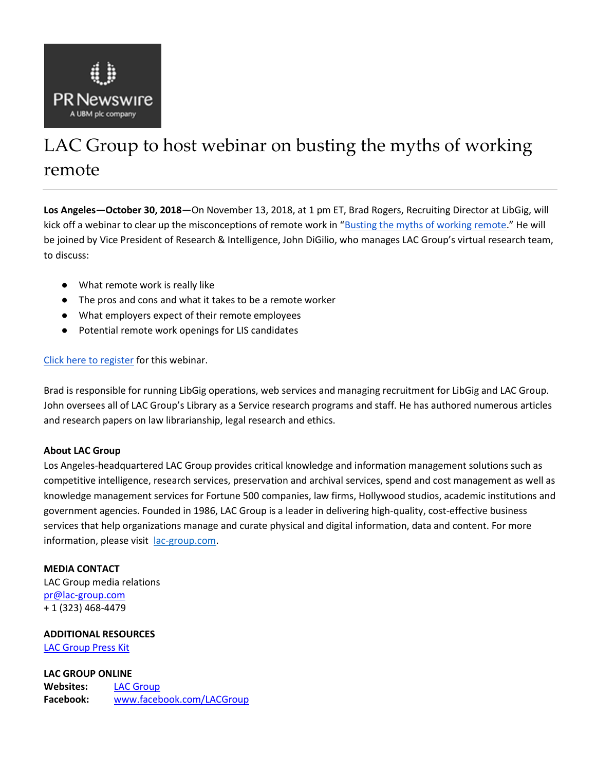

## LAC Group to host webinar on busting the myths of working remote

**Los Angeles—October 30, 2018**—On November 13, 2018, at 1 pm ET, Brad Rogers, Recruiting Director at LibGig, will kick off a webinar to clear up the misconceptions of remote work in "[Busting the myths of working remote](https://lac.gp/2ELkQRp)." He will be joined by Vice President of Research & Intelligence, John DiGilio, who manages LAC Group's virtual research team, to discuss:

- What remote work is really like
- The pros and cons and what it takes to be a remote worker
- What employers expect of their remote employees
- Potential remote work openings for LIS candidates

## [Click here to register](https://lac.gp/2ELkQRp) for this webinar.

Brad is responsible for running LibGig operations, web services and managing recruitment for LibGig and LAC Group. John oversees all of LAC Group's Library as a Service research programs and staff. He has authored numerous articles and research papers on law librarianship, legal research and ethics.

## **About LAC Group**

Los Angeles-headquartered LAC Group provides critical knowledge and information management solutions such as competitive intelligence, research services, preservation and archival services, spend and cost management as well as knowledge management services for Fortune 500 companies, law firms, Hollywood studios, academic institutions and government agencies. Founded in 1986, LAC Group is a leader in delivering high-quality, cost-effective business services that help organizations manage and curate physical and digital information, data and content. For more information, please visit [lac-group.com.](https://lac-group.com/)

## **MEDIA CONTACT**

LAC Group media relations [pr@lac-group.com](mailto:pr@lac-group.com) + 1 (323) 468-4479

**ADDITIONAL RESOURCES** [LAC Group Press Kit](https://lac-group.com/lac-group-media-resources/)

**LAC GROUP ONLINE Websites:** [LAC Group](http://www.lac-group.com/) **Facebook:** [www.facebook.com/LACGroup](http://www.facebook.com/LACGroup)